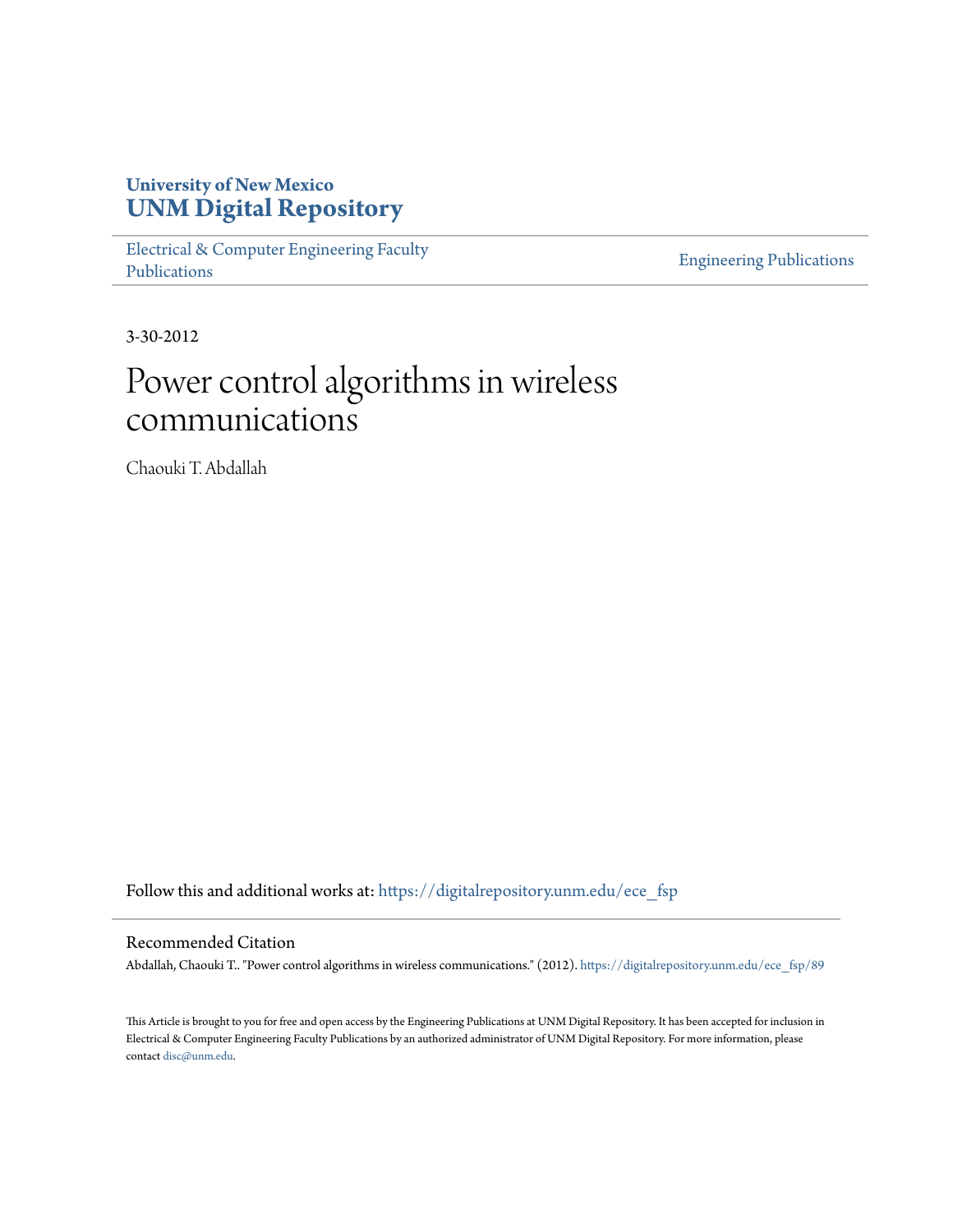# **University of New Mexico [UNM Digital Repository](https://digitalrepository.unm.edu?utm_source=digitalrepository.unm.edu%2Fece_fsp%2F89&utm_medium=PDF&utm_campaign=PDFCoverPages)**

[Electrical & Computer Engineering Faculty](https://digitalrepository.unm.edu/ece_fsp?utm_source=digitalrepository.unm.edu%2Fece_fsp%2F89&utm_medium=PDF&utm_campaign=PDFCoverPages) [Publications](https://digitalrepository.unm.edu/ece_fsp?utm_source=digitalrepository.unm.edu%2Fece_fsp%2F89&utm_medium=PDF&utm_campaign=PDFCoverPages)

[Engineering Publications](https://digitalrepository.unm.edu/eng_fsp?utm_source=digitalrepository.unm.edu%2Fece_fsp%2F89&utm_medium=PDF&utm_campaign=PDFCoverPages)

3-30-2012

# Power control algorithms in wireless communications

Chaouki T. Abdallah

Follow this and additional works at: [https://digitalrepository.unm.edu/ece\\_fsp](https://digitalrepository.unm.edu/ece_fsp?utm_source=digitalrepository.unm.edu%2Fece_fsp%2F89&utm_medium=PDF&utm_campaign=PDFCoverPages)

#### Recommended Citation

Abdallah, Chaouki T.. "Power control algorithms in wireless communications." (2012). [https://digitalrepository.unm.edu/ece\\_fsp/89](https://digitalrepository.unm.edu/ece_fsp/89?utm_source=digitalrepository.unm.edu%2Fece_fsp%2F89&utm_medium=PDF&utm_campaign=PDFCoverPages)

This Article is brought to you for free and open access by the Engineering Publications at UNM Digital Repository. It has been accepted for inclusion in Electrical & Computer Engineering Faculty Publications by an authorized administrator of UNM Digital Repository. For more information, please contact [disc@unm.edu.](mailto:disc@unm.edu)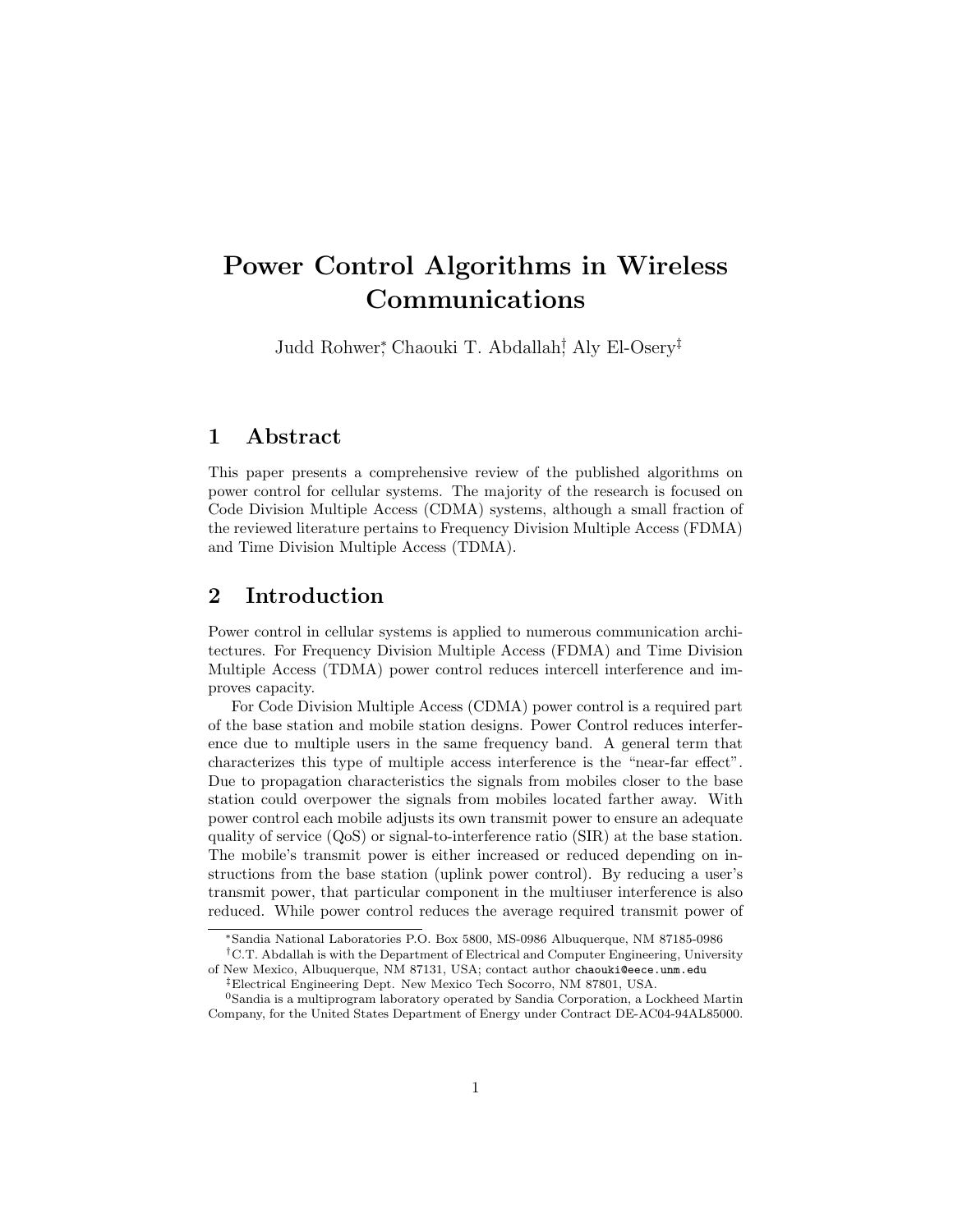# Power Control Algorithms in Wireless Communications

Judd Rohwer<sup>∗</sup> , Chaouki T. Abdallah† , Aly El-Osery‡

# 1 Abstract

This paper presents a comprehensive review of the published algorithms on power control for cellular systems. The majority of the research is focused on Code Division Multiple Access (CDMA) systems, although a small fraction of the reviewed literature pertains to Frequency Division Multiple Access (FDMA) and Time Division Multiple Access (TDMA).

# 2 Introduction

Power control in cellular systems is applied to numerous communication architectures. For Frequency Division Multiple Access (FDMA) and Time Division Multiple Access (TDMA) power control reduces intercell interference and improves capacity.

For Code Division Multiple Access (CDMA) power control is a required part of the base station and mobile station designs. Power Control reduces interference due to multiple users in the same frequency band. A general term that characterizes this type of multiple access interference is the "near-far effect". Due to propagation characteristics the signals from mobiles closer to the base station could overpower the signals from mobiles located farther away. With power control each mobile adjusts its own transmit power to ensure an adequate quality of service (QoS) or signal-to-interference ratio (SIR) at the base station. The mobile's transmit power is either increased or reduced depending on instructions from the base station (uplink power control). By reducing a user's transmit power, that particular component in the multiuser interference is also reduced. While power control reduces the average required transmit power of

<sup>∗</sup>Sandia National Laboratories P.O. Box 5800, MS-0986 Albuquerque, NM 87185-0986

<sup>&</sup>lt;sup>†</sup>C.T. Abdallah is with the Department of Electrical and Computer Engineering, University of New Mexico, Albuquerque, NM 87131, USA; contact author chaouki@eece.unm.edu

<sup>‡</sup>Electrical Engineering Dept. New Mexico Tech Socorro, NM 87801, USA.

<sup>0</sup>Sandia is a multiprogram laboratory operated by Sandia Corporation, a Lockheed Martin Company, for the United States Department of Energy under Contract DE-AC04-94AL85000.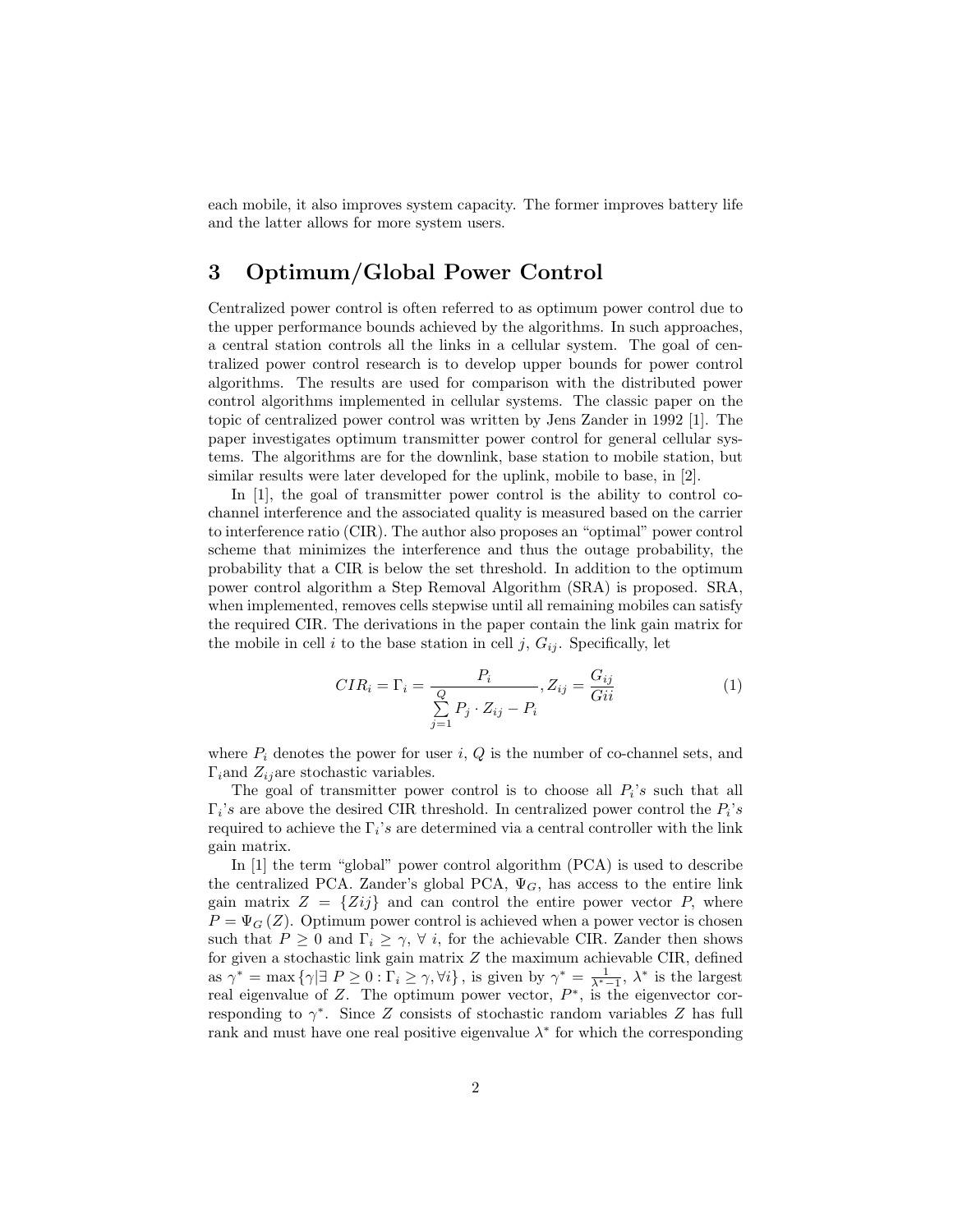each mobile, it also improves system capacity. The former improves battery life and the latter allows for more system users.

# 3 Optimum/Global Power Control

Centralized power control is often referred to as optimum power control due to the upper performance bounds achieved by the algorithms. In such approaches, a central station controls all the links in a cellular system. The goal of centralized power control research is to develop upper bounds for power control algorithms. The results are used for comparison with the distributed power control algorithms implemented in cellular systems. The classic paper on the topic of centralized power control was written by Jens Zander in 1992 [1]. The paper investigates optimum transmitter power control for general cellular systems. The algorithms are for the downlink, base station to mobile station, but similar results were later developed for the uplink, mobile to base, in [2].

In [1], the goal of transmitter power control is the ability to control cochannel interference and the associated quality is measured based on the carrier to interference ratio (CIR). The author also proposes an "optimal" power control scheme that minimizes the interference and thus the outage probability, the probability that a CIR is below the set threshold. In addition to the optimum power control algorithm a Step Removal Algorithm (SRA) is proposed. SRA, when implemented, removes cells stepwise until all remaining mobiles can satisfy the required CIR. The derivations in the paper contain the link gain matrix for the mobile in cell i to the base station in cell j,  $G_{ij}$ . Specifically, let

$$
CIR_i = \Gamma_i = \frac{P_i}{\sum\limits_{j=1}^{Q} P_j \cdot Z_{ij} - P_i}, Z_{ij} = \frac{G_{ij}}{Gii}
$$
(1)

where  $P_i$  denotes the power for user i,  $Q$  is the number of co-channel sets, and  $\Gamma_i$  and  $Z_{ij}$  are stochastic variables.

The goal of transmitter power control is to choose all  $P_i$ 's such that all  $\Gamma_i$ 's are above the desired CIR threshold. In centralized power control the  $P_i$ 's required to achieve the  $\Gamma_i$ 's are determined via a central controller with the link gain matrix.

In [1] the term "global" power control algorithm (PCA) is used to describe the centralized PCA. Zander's global PCA,  $\Psi_G$ , has access to the entire link gain matrix  $Z = \{Zij\}$  and can control the entire power vector P, where  $P = \Psi_G(Z)$ . Optimum power control is achieved when a power vector is chosen such that  $P \geq 0$  and  $\Gamma_i \geq \gamma$ ,  $\forall i$ , for the achievable CIR. Zander then shows for given a stochastic link gain matrix  $Z$  the maximum achievable CIR, defined as  $\gamma^* = \max \{ \gamma | \exists P \ge 0 : \Gamma_i \ge \gamma, \forall i \},\$  is given by  $\gamma^* = \frac{1}{\lambda^* - 1}, \lambda^*$  is the largest real eigenvalue of Z. The optimum power vector,  $P^*$ , is the eigenvector corresponding to  $\gamma^*$ . Since Z consists of stochastic random variables Z has full rank and must have one real positive eigenvalue  $\lambda^*$  for which the corresponding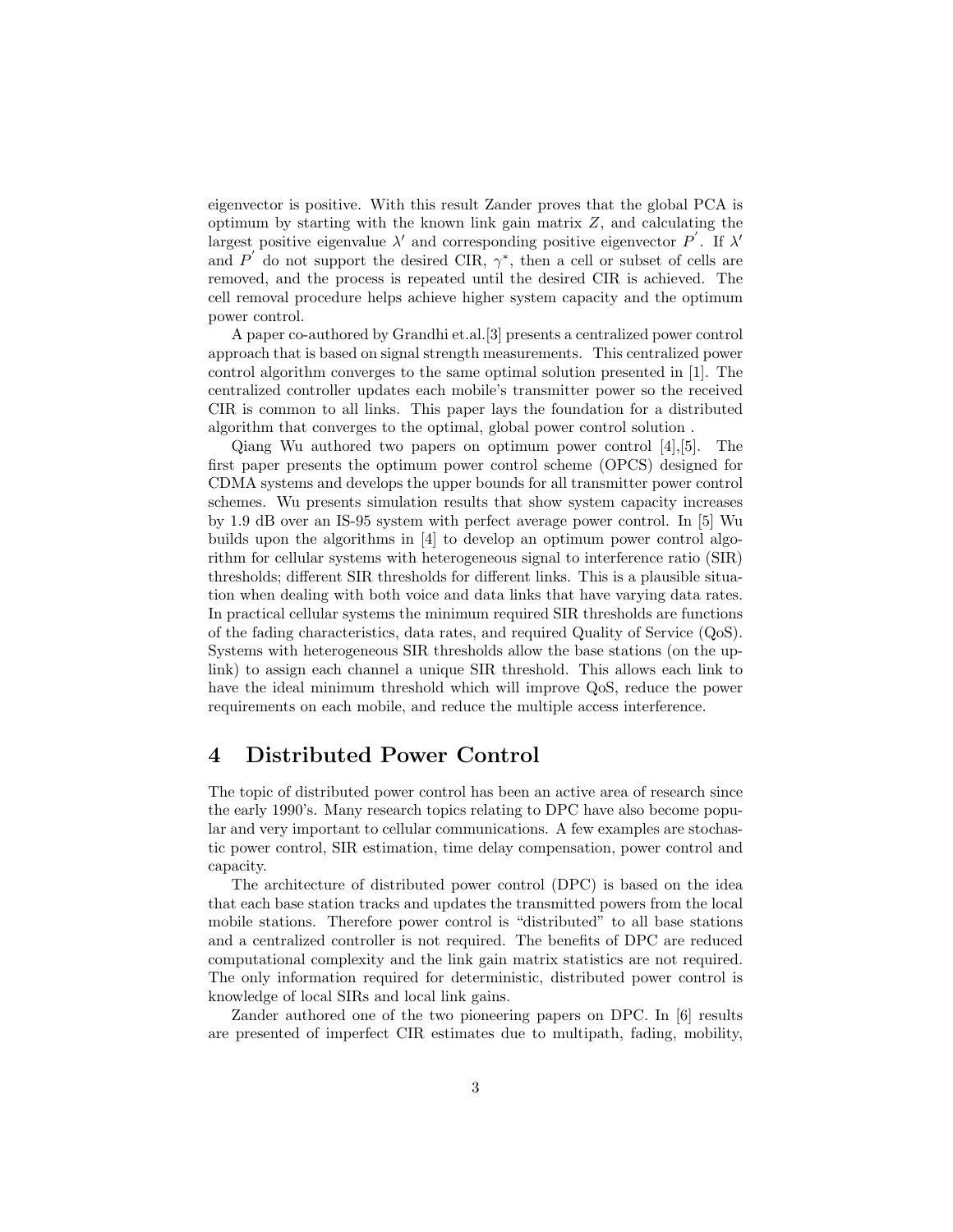eigenvector is positive. With this result Zander proves that the global PCA is optimum by starting with the known link gain matrix Z, and calculating the largest positive eigenvalue  $\lambda'$  and corresponding positive eigenvector  $P'$ . If  $\lambda'$ and P' do not support the desired CIR,  $\gamma^*$ , then a cell or subset of cells are removed, and the process is repeated until the desired CIR is achieved. The cell removal procedure helps achieve higher system capacity and the optimum power control.

A paper co-authored by Grandhi et.al.[3] presents a centralized power control approach that is based on signal strength measurements. This centralized power control algorithm converges to the same optimal solution presented in [1]. The centralized controller updates each mobile's transmitter power so the received CIR is common to all links. This paper lays the foundation for a distributed algorithm that converges to the optimal, global power control solution .

Qiang Wu authored two papers on optimum power control [4],[5]. The first paper presents the optimum power control scheme (OPCS) designed for CDMA systems and develops the upper bounds for all transmitter power control schemes. Wu presents simulation results that show system capacity increases by 1.9 dB over an IS-95 system with perfect average power control. In [5] Wu builds upon the algorithms in [4] to develop an optimum power control algorithm for cellular systems with heterogeneous signal to interference ratio (SIR) thresholds; different SIR thresholds for different links. This is a plausible situation when dealing with both voice and data links that have varying data rates. In practical cellular systems the minimum required SIR thresholds are functions of the fading characteristics, data rates, and required Quality of Service (QoS). Systems with heterogeneous SIR thresholds allow the base stations (on the uplink) to assign each channel a unique SIR threshold. This allows each link to have the ideal minimum threshold which will improve QoS, reduce the power requirements on each mobile, and reduce the multiple access interference.

# 4 Distributed Power Control

The topic of distributed power control has been an active area of research since the early 1990's. Many research topics relating to DPC have also become popular and very important to cellular communications. A few examples are stochastic power control, SIR estimation, time delay compensation, power control and capacity.

The architecture of distributed power control (DPC) is based on the idea that each base station tracks and updates the transmitted powers from the local mobile stations. Therefore power control is "distributed" to all base stations and a centralized controller is not required. The benefits of DPC are reduced computational complexity and the link gain matrix statistics are not required. The only information required for deterministic, distributed power control is knowledge of local SIRs and local link gains.

Zander authored one of the two pioneering papers on DPC. In [6] results are presented of imperfect CIR estimates due to multipath, fading, mobility,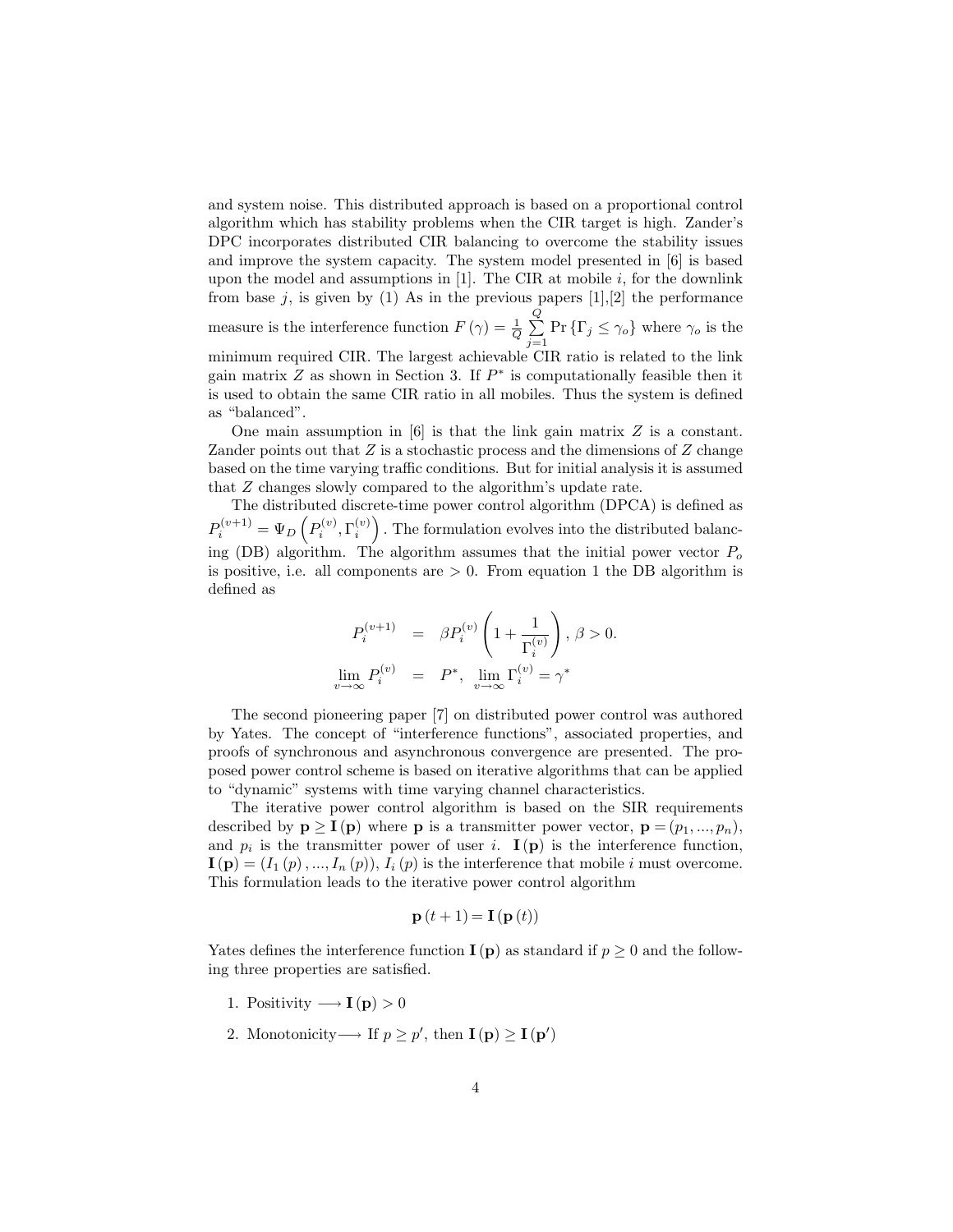and system noise. This distributed approach is based on a proportional control algorithm which has stability problems when the CIR target is high. Zander's DPC incorporates distributed CIR balancing to overcome the stability issues and improve the system capacity. The system model presented in [6] is based upon the model and assumptions in  $[1]$ . The CIR at mobile i, for the downlink from base j, is given by (1) As in the previous papers  $[1], [2]$  the performance measure is the interference function  $F(\gamma) = \frac{1}{Q}$  $\frac{Q}{P}$  $\sum_{j=1}$  Pr  $\{\Gamma_j \leq \gamma_o\}$  where  $\gamma_o$  is the minimum required CIR. The largest achievable CIR ratio is related to the link gain matrix  $Z$  as shown in Section 3. If  $P^*$  is computationally feasible then it is used to obtain the same CIR ratio in all mobiles. Thus the system is defined as "balanced".

One main assumption in  $[6]$  is that the link gain matrix Z is a constant. Zander points out that  $Z$  is a stochastic process and the dimensions of  $Z$  change based on the time varying traffic conditions. But for initial analysis it is assumed that Z changes slowly compared to the algorithm's update rate.

The distributed discrete-time power control algorithm (DPCA) is defined as  $P_i^{(v+1)} = \Psi_D\left(P_i^{(v)}, \Gamma_i^{(v)}\right)$ . The formulation evolves into the distributed balancing (DB) algorithm. The algorithm assumes that the initial power vector  $P_o$ is positive, i.e. all components are  $> 0$ . From equation 1 the DB algorithm is defined as

$$
\begin{array}{rcl} P_i^{(v+1)} & = & \beta P_i^{(v)} \left( 1 + \frac{1}{\Gamma_i^{(v)}} \right), \, \beta > 0. \\\\ \lim_{v \to \infty} P_i^{(v)} & = & P^*, \, \lim_{v \to \infty} \Gamma_i^{(v)} = \gamma^* \end{array}
$$

The second pioneering paper [7] on distributed power control was authored by Yates. The concept of "interference functions", associated properties, and proofs of synchronous and asynchronous convergence are presented. The proposed power control scheme is based on iterative algorithms that can be applied to "dynamic" systems with time varying channel characteristics.

The iterative power control algorithm is based on the SIR requirements described by  $p \geq I(p)$  where p is a transmitter power vector,  $p = (p_1, ..., p_n)$ , and  $p_i$  is the transmitter power of user i.  $I(p)$  is the interference function,  $I(\mathbf{p}) = (I_1(p), ..., I_n(p)), I_i(p)$  is the interference that mobile i must overcome. This formulation leads to the iterative power control algorithm

$$
\mathbf{p}(t+1) = \mathbf{I}(\mathbf{p}(t))
$$

Yates defines the interference function  $I(p)$  as standard if  $p \geq 0$  and the following three properties are satisfied.

- 1. Positivity  $\longrightarrow$  **I**(**p**) > 0
- 2. Monotonicity → If  $p \geq p'$ , then  $I(p) \geq I(p')$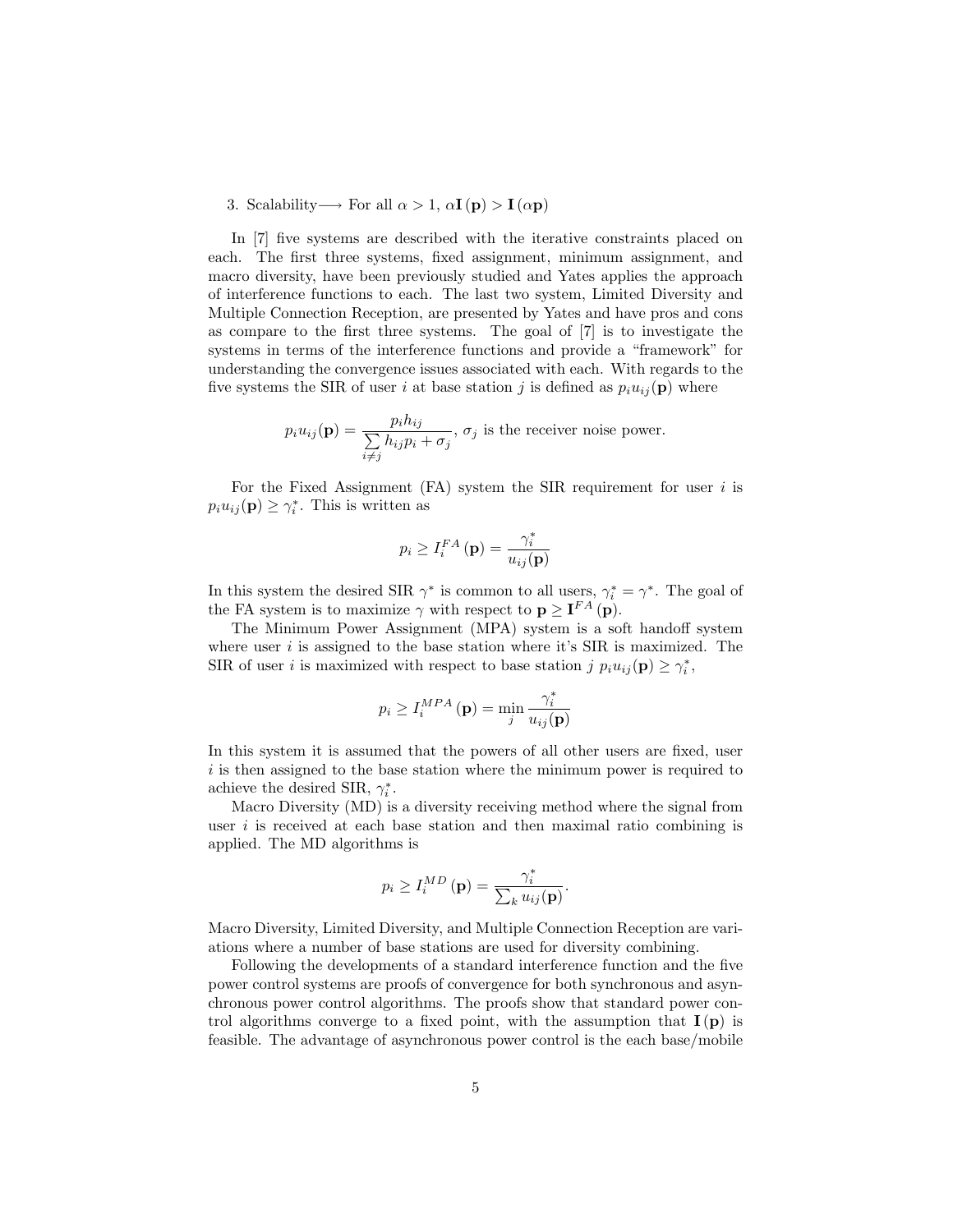3. Scalability  $\rightarrow$  For all  $\alpha > 1$ ,  $\alpha$ **I** (p) > **I** ( $\alpha$ **p**)

In [7] five systems are described with the iterative constraints placed on each. The first three systems, fixed assignment, minimum assignment, and macro diversity, have been previously studied and Yates applies the approach of interference functions to each. The last two system, Limited Diversity and Multiple Connection Reception, are presented by Yates and have pros and cons as compare to the first three systems. The goal of [7] is to investigate the systems in terms of the interference functions and provide a "framework" for understanding the convergence issues associated with each. With regards to the five systems the SIR of user i at base station j is defined as  $p_i u_{ij}(\mathbf{p})$  where

$$
p_i u_{ij}(\mathbf{p}) = \frac{p_i h_{ij}}{\sum\limits_{i \neq j} h_{ij} p_i + \sigma_j}, \, \sigma_j \text{ is the receiver noise power.}
$$

For the Fixed Assignment  $(FA)$  system the SIR requirement for user i is  $p_i u_{ij}(\mathbf{p}) \geq \gamma_i^*$ . This is written as

$$
p_i \ge I_i^{FA}(\mathbf{p}) = \frac{\gamma_i^*}{u_{ij}(\mathbf{p})}
$$

In this system the desired SIR  $\gamma^*$  is common to all users,  $\gamma_i^* = \gamma^*$ . The goal of the FA system is to maximize  $\gamma$  with respect to  $\mathbf{p} \geq \mathbf{I}^{FA}(\mathbf{p}).$ 

The Minimum Power Assignment (MPA) system is a soft handoff system where user  $i$  is assigned to the base station where it's SIR is maximized. The SIR of user *i* is maximized with respect to base station j  $p_i u_{ij}(\mathbf{p}) \geq \gamma_i^*$ ,

$$
p_i \ge I_i^{MPA}(\mathbf{p}) = \min_j \frac{\gamma_i^*}{u_{ij}(\mathbf{p})}
$$

In this system it is assumed that the powers of all other users are fixed, user  $i$  is then assigned to the base station where the minimum power is required to achieve the desired SIR,  $\gamma_i^*$ .

Macro Diversity (MD) is a diversity receiving method where the signal from user  $i$  is received at each base station and then maximal ratio combining is applied. The MD algorithms is

$$
p_i \ge I_i^{MD}(\mathbf{p}) = \frac{\gamma_i^*}{\sum_k u_{ij}(\mathbf{p})}.
$$

Macro Diversity, Limited Diversity, and Multiple Connection Reception are variations where a number of base stations are used for diversity combining.

Following the developments of a standard interference function and the five power control systems are proofs of convergence for both synchronous and asynchronous power control algorithms. The proofs show that standard power control algorithms converge to a fixed point, with the assumption that  $I(p)$  is feasible. The advantage of asynchronous power control is the each base/mobile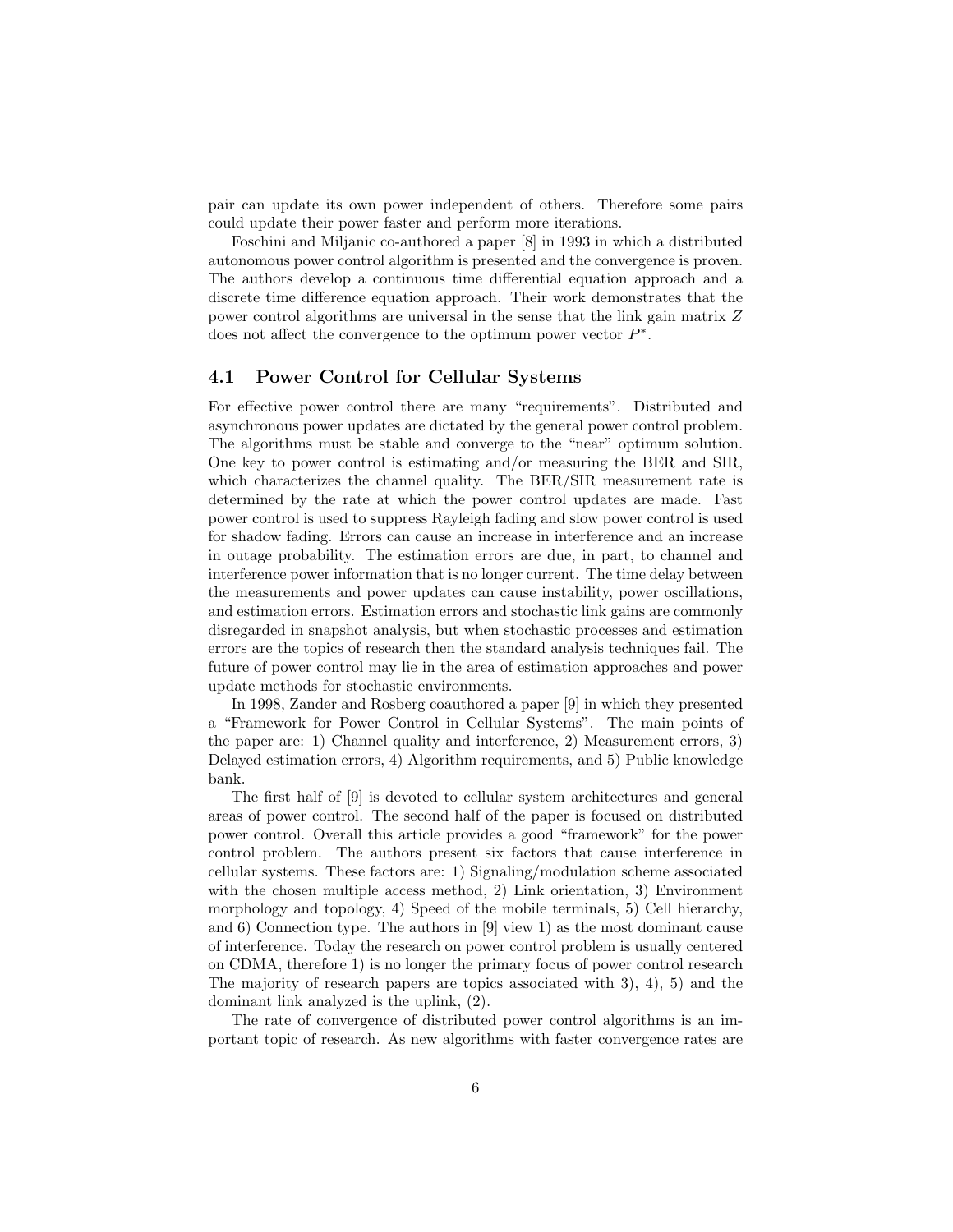pair can update its own power independent of others. Therefore some pairs could update their power faster and perform more iterations.

Foschini and Miljanic co-authored a paper [8] in 1993 in which a distributed autonomous power control algorithm is presented and the convergence is proven. The authors develop a continuous time differential equation approach and a discrete time difference equation approach. Their work demonstrates that the power control algorithms are universal in the sense that the link gain matrix Z does not affect the convergence to the optimum power vector  $P^*$ .

#### 4.1 Power Control for Cellular Systems

For effective power control there are many "requirements". Distributed and asynchronous power updates are dictated by the general power control problem. The algorithms must be stable and converge to the "near" optimum solution. One key to power control is estimating and/or measuring the BER and SIR, which characterizes the channel quality. The BER/SIR measurement rate is determined by the rate at which the power control updates are made. Fast power control is used to suppress Rayleigh fading and slow power control is used for shadow fading. Errors can cause an increase in interference and an increase in outage probability. The estimation errors are due, in part, to channel and interference power information that is no longer current. The time delay between the measurements and power updates can cause instability, power oscillations, and estimation errors. Estimation errors and stochastic link gains are commonly disregarded in snapshot analysis, but when stochastic processes and estimation errors are the topics of research then the standard analysis techniques fail. The future of power control may lie in the area of estimation approaches and power update methods for stochastic environments.

In 1998, Zander and Rosberg coauthored a paper [9] in which they presented a "Framework for Power Control in Cellular Systems". The main points of the paper are: 1) Channel quality and interference, 2) Measurement errors, 3) Delayed estimation errors, 4) Algorithm requirements, and 5) Public knowledge bank.

The first half of [9] is devoted to cellular system architectures and general areas of power control. The second half of the paper is focused on distributed power control. Overall this article provides a good "framework" for the power control problem. The authors present six factors that cause interference in cellular systems. These factors are: 1) Signaling/modulation scheme associated with the chosen multiple access method, 2) Link orientation, 3) Environment morphology and topology, 4) Speed of the mobile terminals, 5) Cell hierarchy, and 6) Connection type. The authors in [9] view 1) as the most dominant cause of interference. Today the research on power control problem is usually centered on CDMA, therefore 1) is no longer the primary focus of power control research The majority of research papers are topics associated with 3), 4), 5) and the dominant link analyzed is the uplink, (2).

The rate of convergence of distributed power control algorithms is an important topic of research. As new algorithms with faster convergence rates are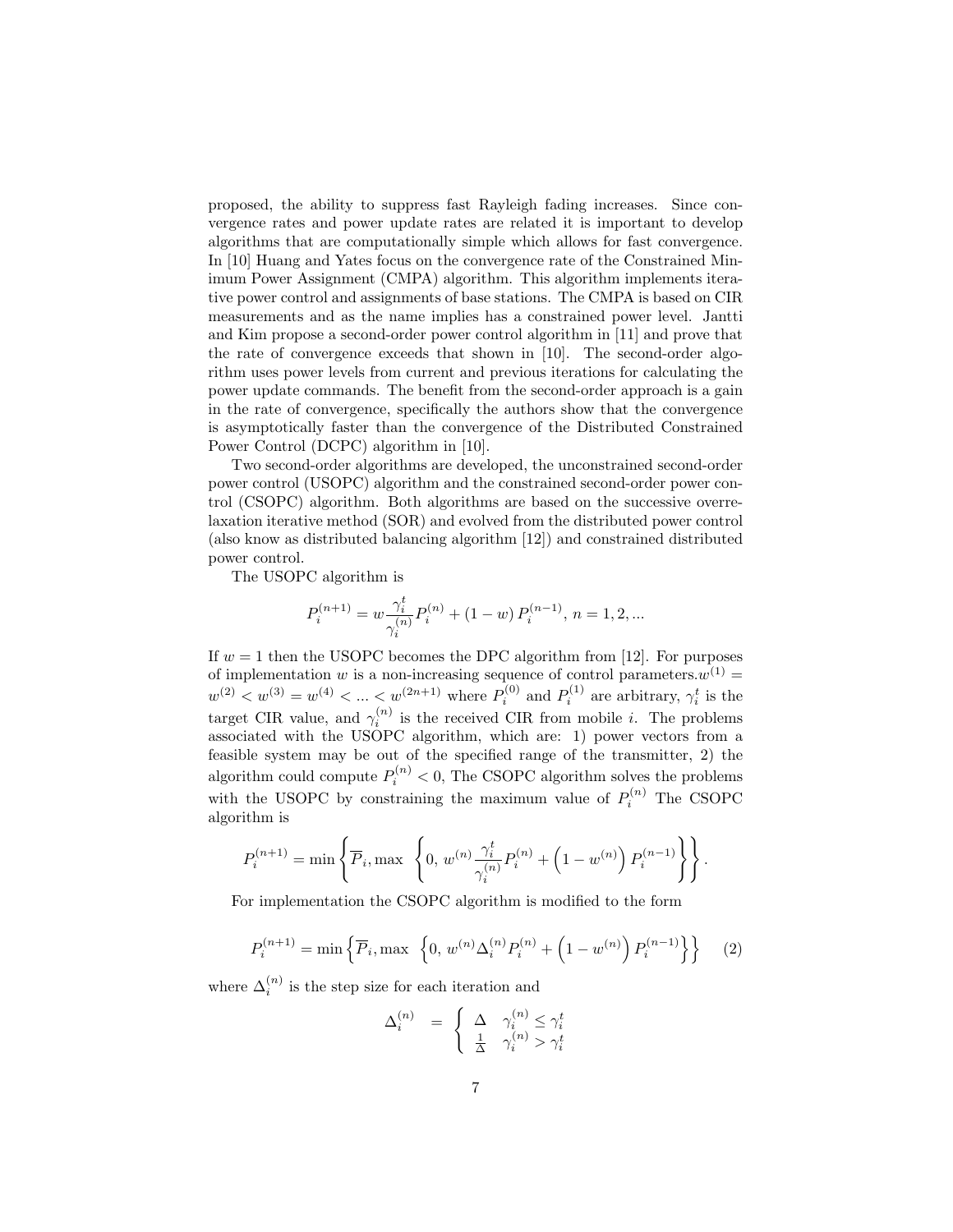proposed, the ability to suppress fast Rayleigh fading increases. Since convergence rates and power update rates are related it is important to develop algorithms that are computationally simple which allows for fast convergence. In [10] Huang and Yates focus on the convergence rate of the Constrained Minimum Power Assignment (CMPA) algorithm. This algorithm implements iterative power control and assignments of base stations. The CMPA is based on CIR measurements and as the name implies has a constrained power level. Jantti and Kim propose a second-order power control algorithm in [11] and prove that the rate of convergence exceeds that shown in [10]. The second-order algorithm uses power levels from current and previous iterations for calculating the power update commands. The benefit from the second-order approach is a gain in the rate of convergence, specifically the authors show that the convergence is asymptotically faster than the convergence of the Distributed Constrained Power Control (DCPC) algorithm in [10].

Two second-order algorithms are developed, the unconstrained second-order power control (USOPC) algorithm and the constrained second-order power control (CSOPC) algorithm. Both algorithms are based on the successive overrelaxation iterative method (SOR) and evolved from the distributed power control (also know as distributed balancing algorithm [12]) and constrained distributed power control.

The USOPC algorithm is

$$
P_i^{(n+1)} = w \frac{\gamma_i^t}{\gamma_i^{(n)}} P_i^{(n)} + (1-w) P_i^{(n-1)}, n = 1, 2, ...
$$

If  $w = 1$  then the USOPC becomes the DPC algorithm from [12]. For purposes of implementation w is a non-increasing sequence of control parameters.  $w^{(1)} =$  $w^{(2)} < w^{(3)} = w^{(4)} < ... < w^{(2n+1)}$  where  $P_i^{(0)}$  and  $P_i^{(1)}$  are arbitrary,  $\gamma_i^t$  is the target CIR value, and  $\gamma_i^{(n)}$  is the received CIR from mobile *i*. The problems associated with the USOPC algorithm, which are: 1) power vectors from a feasible system may be out of the specified range of the transmitter, 2) the algorithm could compute  $P_i^{(n)} < 0$ , The CSOPC algorithm solves the problems with the USOPC by constraining the maximum value of  $P_i^{(n)}$  The CSOPC algorithm is

$$
P_i^{(n+1)} = \min \left\{ \overline{P}_i, \max \ \left\{ 0, \ w^{(n)} \frac{\gamma_i^t}{\gamma_i^{(n)}} P_i^{(n)} + \left( 1 - w^{(n)} \right) P_i^{(n-1)} \right\} \right\}.
$$

For implementation the CSOPC algorithm is modified to the form

$$
P_i^{(n+1)} = \min\left\{\overline{P}_i, \max\ \left\{0, \ w^{(n)} \Delta_i^{(n)} P_i^{(n)} + \left(1 - w^{(n)}\right) P_i^{(n-1)}\right\}\right\} \tag{2}
$$

where  $\Delta_i^{(n)}$  is the step size for each iteration and

$$
\Delta_i^{(n)} = \begin{cases} \Delta & \gamma_i^{(n)} \leq \gamma_i^t \\ \frac{1}{\Delta} & \gamma_i^{(n)} > \gamma_i^t \end{cases}
$$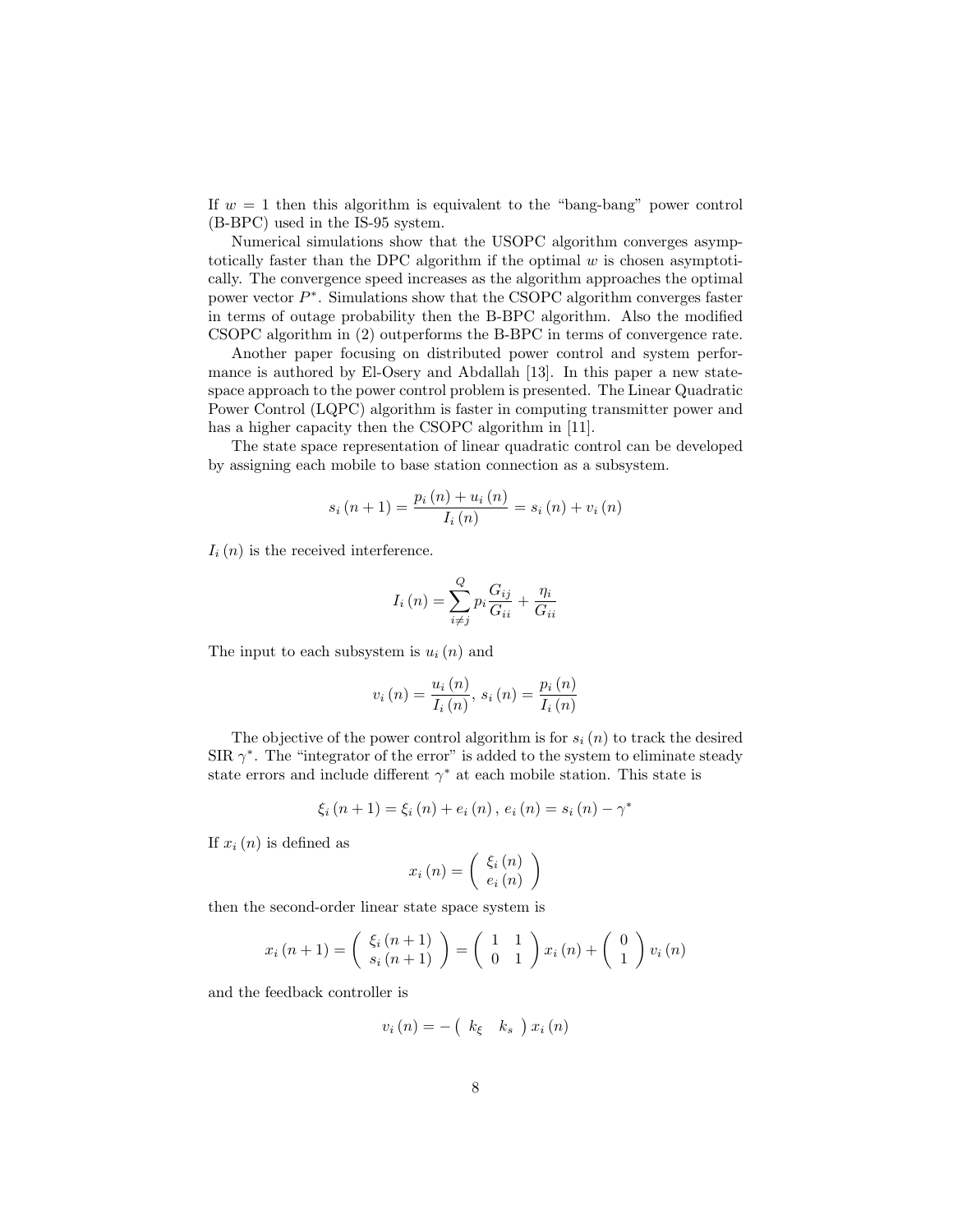If  $w = 1$  then this algorithm is equivalent to the "bang-bang" power control (B-BPC) used in the IS-95 system.

Numerical simulations show that the USOPC algorithm converges asymptotically faster than the DPC algorithm if the optimal  $w$  is chosen asymptotically. The convergence speed increases as the algorithm approaches the optimal power vector  $P^*$ . Simulations show that the CSOPC algorithm converges faster in terms of outage probability then the B-BPC algorithm. Also the modified CSOPC algorithm in (2) outperforms the B-BPC in terms of convergence rate.

Another paper focusing on distributed power control and system performance is authored by El-Osery and Abdallah [13]. In this paper a new statespace approach to the power control problem is presented. The Linear Quadratic Power Control (LQPC) algorithm is faster in computing transmitter power and has a higher capacity then the CSOPC algorithm in [11].

The state space representation of linear quadratic control can be developed by assigning each mobile to base station connection as a subsystem.

$$
s_{i}(n+1) = \frac{p_{i}(n) + u_{i}(n)}{I_{i}(n)} = s_{i}(n) + v_{i}(n)
$$

 $I_i(n)$  is the received interference.

$$
I_i(n) = \sum_{i \neq j}^{Q} p_i \frac{G_{ij}}{G_{ii}} + \frac{\eta_i}{G_{ii}}
$$

The input to each subsystem is  $u_i(n)$  and

$$
v_i(n) = \frac{u_i(n)}{I_i(n)}, \, s_i(n) = \frac{p_i(n)}{I_i(n)}
$$

The objective of the power control algorithm is for  $s_i(n)$  to track the desired SIR  $\gamma^*$ . The "integrator of the error" is added to the system to eliminate steady state errors and include different  $\gamma^*$  at each mobile station. This state is

$$
\xi_{i}(n+1) = \xi_{i}(n) + e_{i}(n), e_{i}(n) = s_{i}(n) - \gamma^{*}
$$

If  $x_i(n)$  is defined as

$$
x_i(n) = \left(\begin{array}{c} \xi_i(n) \\ e_i(n) \end{array}\right)
$$

then the second-order linear state space system is

$$
x_i(n+1) = \begin{pmatrix} \xi_i(n+1) \\ s_i(n+1) \end{pmatrix} = \begin{pmatrix} 1 & 1 \\ 0 & 1 \end{pmatrix} x_i(n) + \begin{pmatrix} 0 \\ 1 \end{pmatrix} v_i(n)
$$

and the feedback controller is

$$
v_i(n) = -\left(k_{\xi} \quad k_s \quad k_i(n)\right)
$$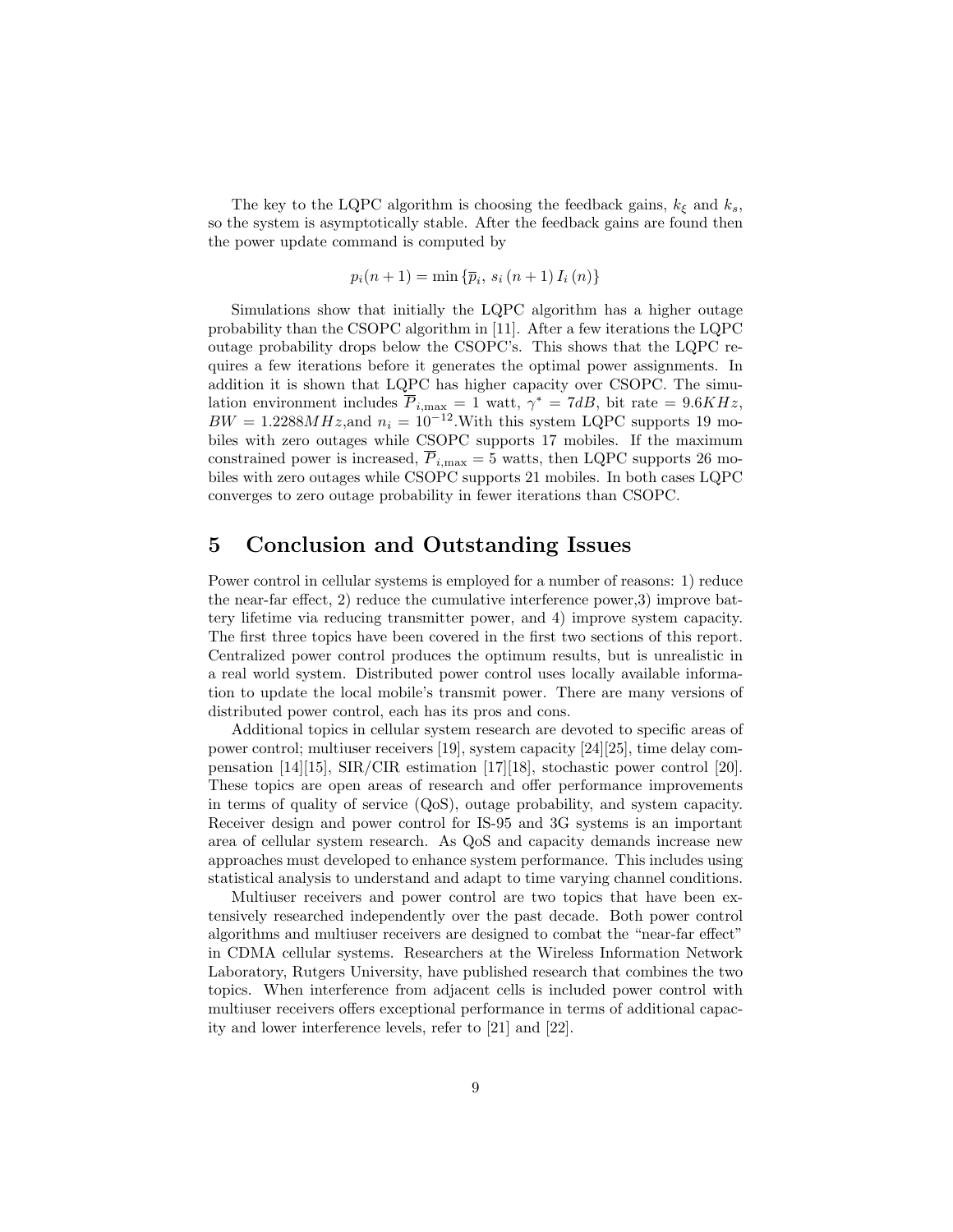The key to the LQPC algorithm is choosing the feedback gains,  $k_{\xi}$  and  $k_s$ , so the system is asymptotically stable. After the feedback gains are found then the power update command is computed by

$$
p_i(n + 1) = \min \{ \overline{p}_i, s_i(n + 1) I_i(n) \}
$$

Simulations show that initially the LQPC algorithm has a higher outage probability than the CSOPC algorithm in [11]. After a few iterations the LQPC outage probability drops below the CSOPC's. This shows that the LQPC requires a few iterations before it generates the optimal power assignments. In addition it is shown that LQPC has higher capacity over CSOPC. The simulation environment includes  $\overline{P}_{i,\text{max}} = 1$  watt,  $\gamma^* = 7dB$ , bit rate = 9.6KHz,  $BW = 1.2288MHz$ , and  $n_i = 10^{-12}$ . With this system LQPC supports 19 mobiles with zero outages while CSOPC supports 17 mobiles. If the maximum constrained power is increased,  $\overline{P}_{i,\text{max}} = 5$  watts, then LQPC supports 26 mobiles with zero outages while CSOPC supports 21 mobiles. In both cases LQPC converges to zero outage probability in fewer iterations than CSOPC.

## 5 Conclusion and Outstanding Issues

Power control in cellular systems is employed for a number of reasons: 1) reduce the near-far effect, 2) reduce the cumulative interference power,3) improve battery lifetime via reducing transmitter power, and 4) improve system capacity. The first three topics have been covered in the first two sections of this report. Centralized power control produces the optimum results, but is unrealistic in a real world system. Distributed power control uses locally available information to update the local mobile's transmit power. There are many versions of distributed power control, each has its pros and cons.

Additional topics in cellular system research are devoted to specific areas of power control; multiuser receivers [19], system capacity [24][25], time delay compensation [14][15], SIR/CIR estimation [17][18], stochastic power control [20]. These topics are open areas of research and offer performance improvements in terms of quality of service (QoS), outage probability, and system capacity. Receiver design and power control for IS-95 and 3G systems is an important area of cellular system research. As QoS and capacity demands increase new approaches must developed to enhance system performance. This includes using statistical analysis to understand and adapt to time varying channel conditions.

Multiuser receivers and power control are two topics that have been extensively researched independently over the past decade. Both power control algorithms and multiuser receivers are designed to combat the "near-far effect" in CDMA cellular systems. Researchers at the Wireless Information Network Laboratory, Rutgers University, have published research that combines the two topics. When interference from adjacent cells is included power control with multiuser receivers offers exceptional performance in terms of additional capacity and lower interference levels, refer to [21] and [22].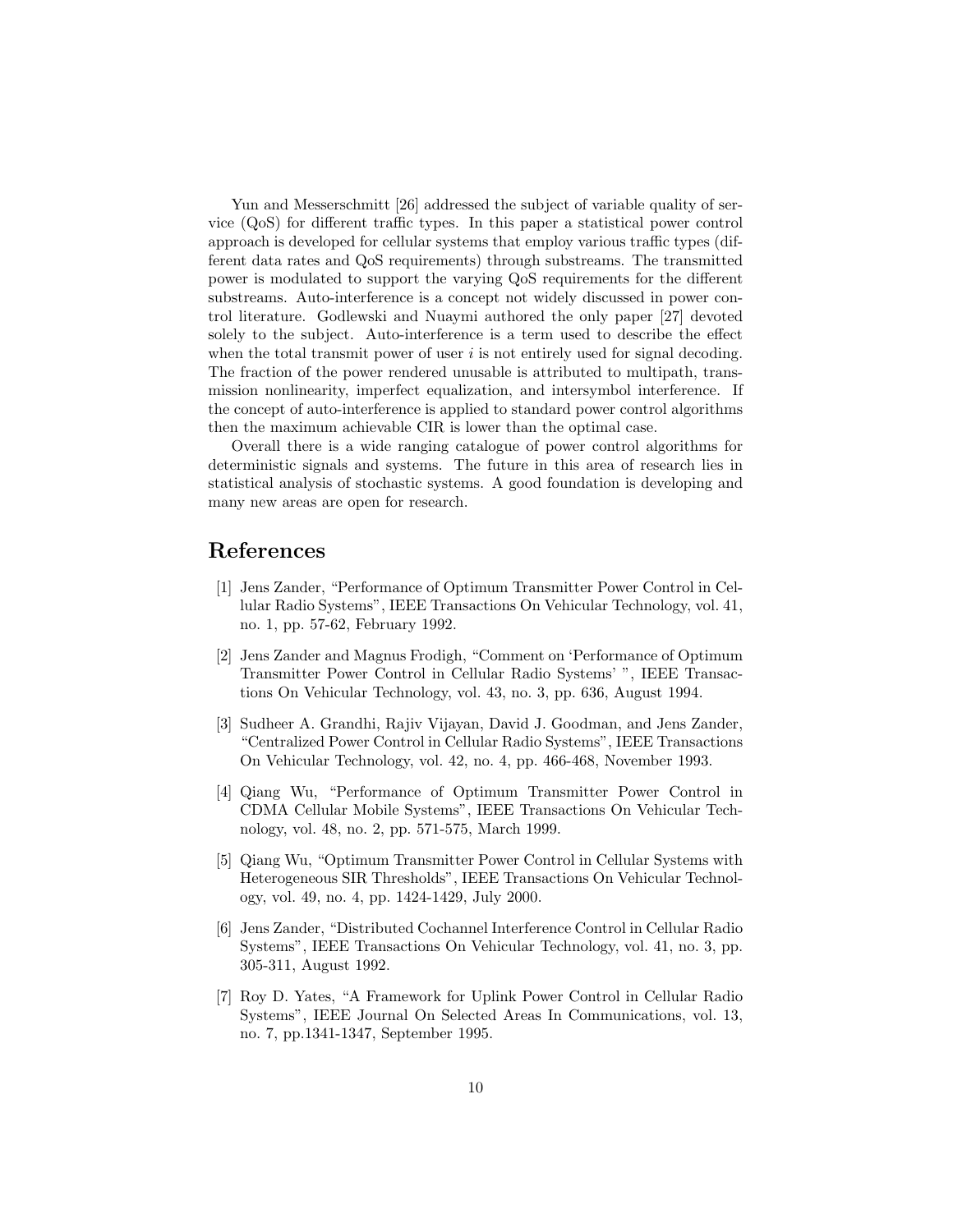Yun and Messerschmitt [26] addressed the subject of variable quality of service (QoS) for different traffic types. In this paper a statistical power control approach is developed for cellular systems that employ various traffic types (different data rates and QoS requirements) through substreams. The transmitted power is modulated to support the varying QoS requirements for the different substreams. Auto-interference is a concept not widely discussed in power control literature. Godlewski and Nuaymi authored the only paper [27] devoted solely to the subject. Auto-interference is a term used to describe the effect when the total transmit power of user  $i$  is not entirely used for signal decoding. The fraction of the power rendered unusable is attributed to multipath, transmission nonlinearity, imperfect equalization, and intersymbol interference. If the concept of auto-interference is applied to standard power control algorithms then the maximum achievable CIR is lower than the optimal case.

Overall there is a wide ranging catalogue of power control algorithms for deterministic signals and systems. The future in this area of research lies in statistical analysis of stochastic systems. A good foundation is developing and many new areas are open for research.

# References

- [1] Jens Zander, "Performance of Optimum Transmitter Power Control in Cellular Radio Systems", IEEE Transactions On Vehicular Technology, vol. 41, no. 1, pp. 57-62, February 1992.
- [2] Jens Zander and Magnus Frodigh, "Comment on 'Performance of Optimum Transmitter Power Control in Cellular Radio Systems' ", IEEE Transactions On Vehicular Technology, vol. 43, no. 3, pp. 636, August 1994.
- [3] Sudheer A. Grandhi, Rajiv Vijayan, David J. Goodman, and Jens Zander, "Centralized Power Control in Cellular Radio Systems", IEEE Transactions On Vehicular Technology, vol. 42, no. 4, pp. 466-468, November 1993.
- [4] Qiang Wu, "Performance of Optimum Transmitter Power Control in CDMA Cellular Mobile Systems", IEEE Transactions On Vehicular Technology, vol. 48, no. 2, pp. 571-575, March 1999.
- [5] Qiang Wu, "Optimum Transmitter Power Control in Cellular Systems with Heterogeneous SIR Thresholds", IEEE Transactions On Vehicular Technology, vol. 49, no. 4, pp. 1424-1429, July 2000.
- [6] Jens Zander, "Distributed Cochannel Interference Control in Cellular Radio Systems", IEEE Transactions On Vehicular Technology, vol. 41, no. 3, pp. 305-311, August 1992.
- [7] Roy D. Yates, "A Framework for Uplink Power Control in Cellular Radio Systems", IEEE Journal On Selected Areas In Communications, vol. 13, no. 7, pp.1341-1347, September 1995.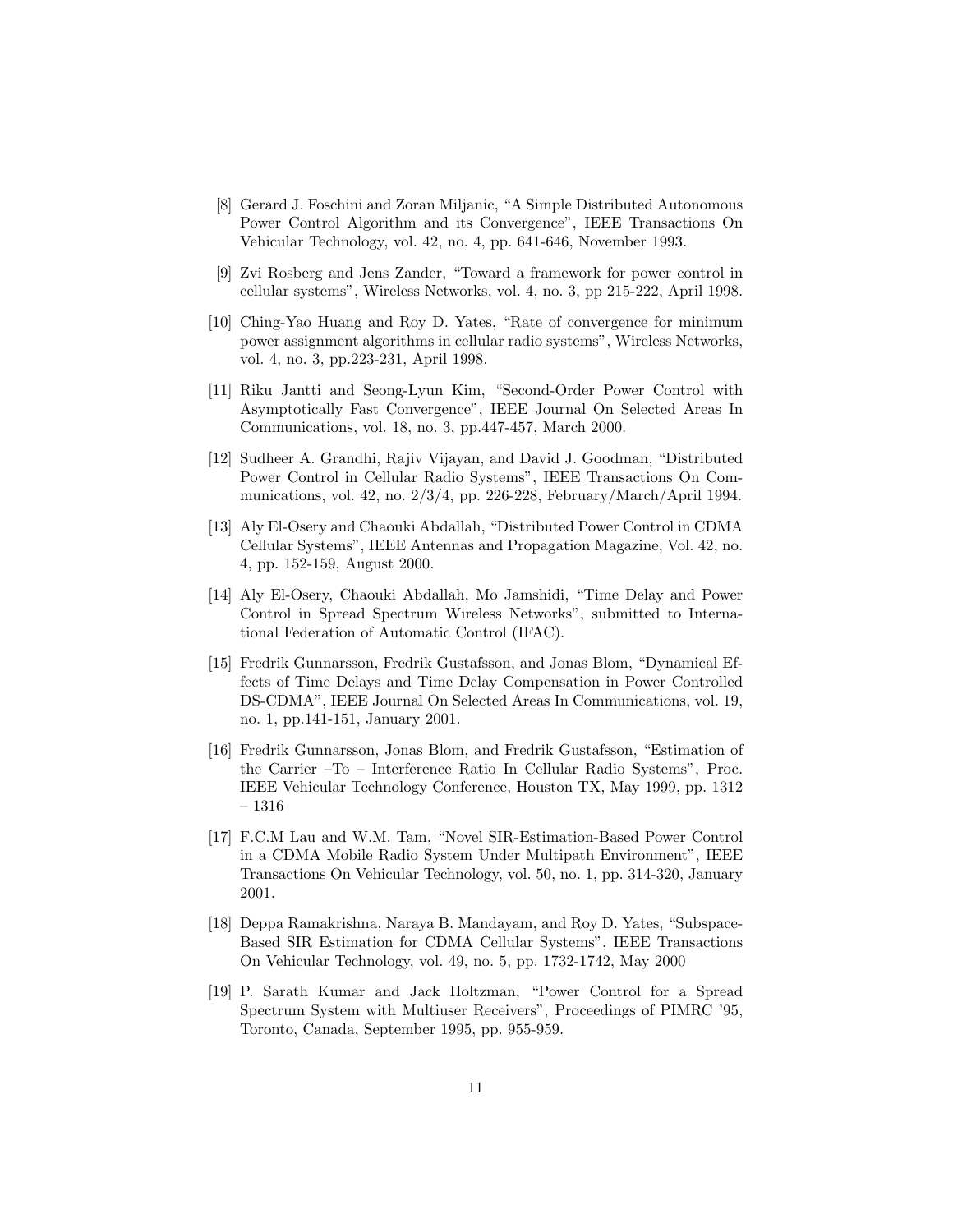- [8] Gerard J. Foschini and Zoran Miljanic, "A Simple Distributed Autonomous Power Control Algorithm and its Convergence", IEEE Transactions On Vehicular Technology, vol. 42, no. 4, pp. 641-646, November 1993.
- [9] Zvi Rosberg and Jens Zander, "Toward a framework for power control in cellular systems", Wireless Networks, vol. 4, no. 3, pp 215-222, April 1998.
- [10] Ching-Yao Huang and Roy D. Yates, "Rate of convergence for minimum power assignment algorithms in cellular radio systems", Wireless Networks, vol. 4, no. 3, pp.223-231, April 1998.
- [11] Riku Jantti and Seong-Lyun Kim, "Second-Order Power Control with Asymptotically Fast Convergence", IEEE Journal On Selected Areas In Communications, vol. 18, no. 3, pp.447-457, March 2000.
- [12] Sudheer A. Grandhi, Rajiv Vijayan, and David J. Goodman, "Distributed Power Control in Cellular Radio Systems", IEEE Transactions On Communications, vol. 42, no. 2/3/4, pp. 226-228, February/March/April 1994.
- [13] Aly El-Osery and Chaouki Abdallah, "Distributed Power Control in CDMA Cellular Systems", IEEE Antennas and Propagation Magazine, Vol. 42, no. 4, pp. 152-159, August 2000.
- [14] Aly El-Osery, Chaouki Abdallah, Mo Jamshidi, "Time Delay and Power Control in Spread Spectrum Wireless Networks", submitted to International Federation of Automatic Control (IFAC).
- [15] Fredrik Gunnarsson, Fredrik Gustafsson, and Jonas Blom, "Dynamical Effects of Time Delays and Time Delay Compensation in Power Controlled DS-CDMA", IEEE Journal On Selected Areas In Communications, vol. 19, no. 1, pp.141-151, January 2001.
- [16] Fredrik Gunnarsson, Jonas Blom, and Fredrik Gustafsson, "Estimation of the Carrier –To – Interference Ratio In Cellular Radio Systems", Proc. IEEE Vehicular Technology Conference, Houston TX, May 1999, pp. 1312 – 1316
- [17] F.C.M Lau and W.M. Tam, "Novel SIR-Estimation-Based Power Control in a CDMA Mobile Radio System Under Multipath Environment", IEEE Transactions On Vehicular Technology, vol. 50, no. 1, pp. 314-320, January 2001.
- [18] Deppa Ramakrishna, Naraya B. Mandayam, and Roy D. Yates, "Subspace-Based SIR Estimation for CDMA Cellular Systems", IEEE Transactions On Vehicular Technology, vol. 49, no. 5, pp. 1732-1742, May 2000
- [19] P. Sarath Kumar and Jack Holtzman, "Power Control for a Spread Spectrum System with Multiuser Receivers", Proceedings of PIMRC '95, Toronto, Canada, September 1995, pp. 955-959.